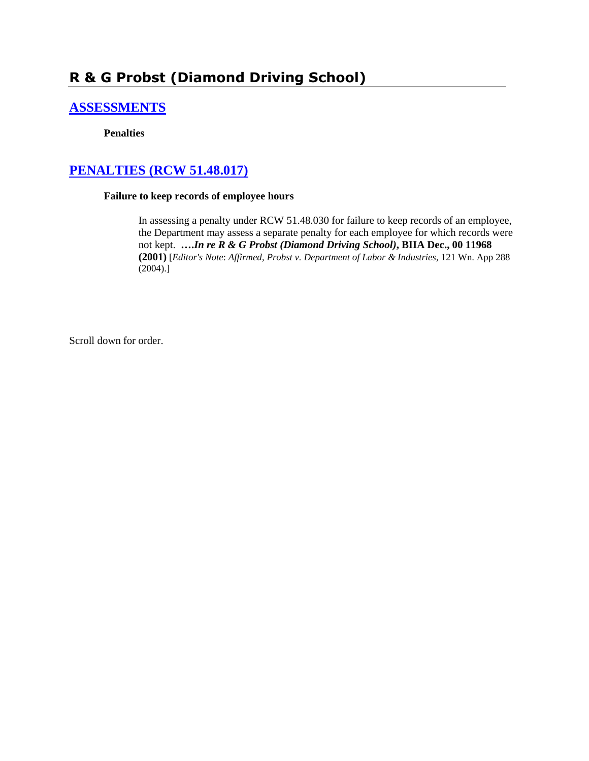# **R & G Probst (Diamond Driving School)**

# **[ASSESSMENTS](http://www.biia.wa.gov/SDSubjectIndex.html#ASSESSMENTS)**

### **Penalties**

# **[PENALTIES \(RCW 51.48.017\)](http://www.biia.wa.gov/SDSubjectIndex.html#PENALTIES)**

### **Failure to keep records of employee hours**

In assessing a penalty under RCW 51.48.030 for failure to keep records of an employee, the Department may assess a separate penalty for each employee for which records were not kept. **….***In re R & G Probst (Diamond Driving School)***, BIIA Dec., 00 11968 (2001)** [*Editor's Note*: *Affirmed*, *Probst v. Department of Labor & Industries*, 121 Wn. App 288 (2004).]

Scroll down for order.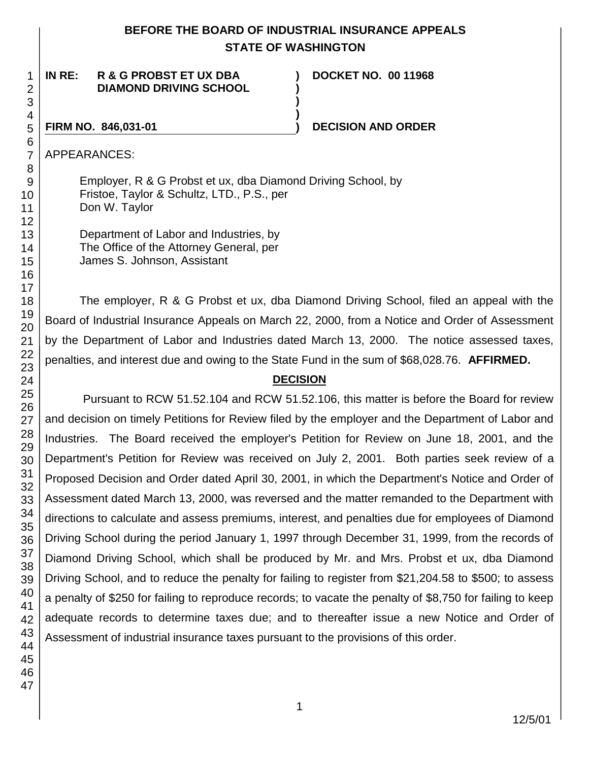### **BEFORE THE BOARD OF INDUSTRIAL INSURANCE APPEALS STATE OF WASHINGTON**

**) ) )**

**)**

### **IN RE: R & G PROBST ET UX DBA DIAMOND DRIVING SCHOOL**

**DOCKET NO. 00 11968**

### **FIRM NO. 846,031-01 ) DECISION AND ORDER**

APPEARANCES:

Employer, R & G Probst et ux, dba Diamond Driving School, by Fristoe, Taylor & Schultz, LTD., P.S., per Don W. Taylor

Department of Labor and Industries, by The Office of the Attorney General, per James S. Johnson, Assistant

The employer, R & G Probst et ux, dba Diamond Driving School, filed an appeal with the Board of Industrial Insurance Appeals on March 22, 2000, from a Notice and Order of Assessment by the Department of Labor and Industries dated March 13, 2000. The notice assessed taxes, penalties, and interest due and owing to the State Fund in the sum of \$68,028.76. **AFFIRMED.**

## **DECISION**

Pursuant to RCW 51.52.104 and RCW 51.52.106, this matter is before the Board for review and decision on timely Petitions for Review filed by the employer and the Department of Labor and Industries. The Board received the employer's Petition for Review on June 18, 2001, and the Department's Petition for Review was received on July 2, 2001. Both parties seek review of a Proposed Decision and Order dated April 30, 2001, in which the Department's Notice and Order of Assessment dated March 13, 2000, was reversed and the matter remanded to the Department with directions to calculate and assess premiums, interest, and penalties due for employees of Diamond Driving School during the period January 1, 1997 through December 31, 1999, from the records of Diamond Driving School, which shall be produced by Mr. and Mrs. Probst et ux, dba Diamond Driving School, and to reduce the penalty for failing to register from \$21,204.58 to \$500; to assess a penalty of \$250 for failing to reproduce records; to vacate the penalty of \$8,750 for failing to keep adequate records to determine taxes due; and to thereafter issue a new Notice and Order of Assessment of industrial insurance taxes pursuant to the provisions of this order.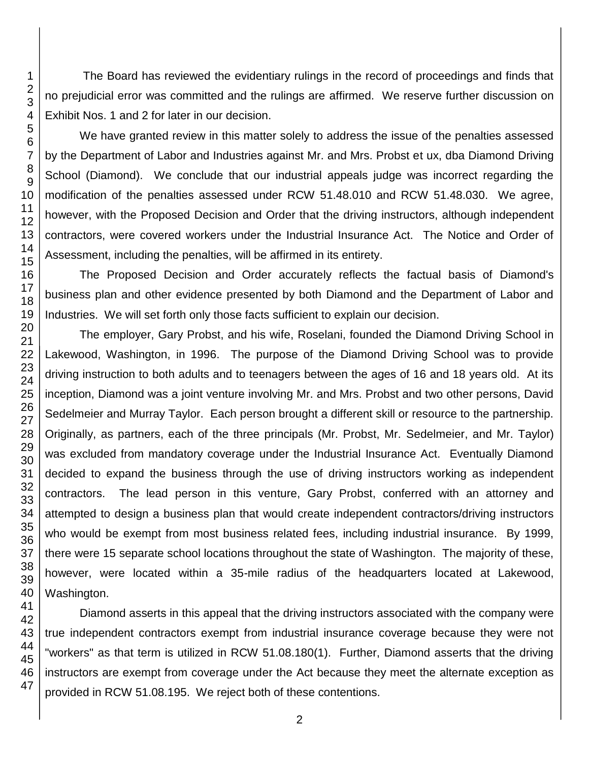The Board has reviewed the evidentiary rulings in the record of proceedings and finds that no prejudicial error was committed and the rulings are affirmed. We reserve further discussion on Exhibit Nos. 1 and 2 for later in our decision.

We have granted review in this matter solely to address the issue of the penalties assessed by the Department of Labor and Industries against Mr. and Mrs. Probst et ux, dba Diamond Driving School (Diamond). We conclude that our industrial appeals judge was incorrect regarding the modification of the penalties assessed under RCW 51.48.010 and RCW 51.48.030. We agree, however, with the Proposed Decision and Order that the driving instructors, although independent contractors, were covered workers under the Industrial Insurance Act. The Notice and Order of Assessment, including the penalties, will be affirmed in its entirety.

The Proposed Decision and Order accurately reflects the factual basis of Diamond's business plan and other evidence presented by both Diamond and the Department of Labor and Industries. We will set forth only those facts sufficient to explain our decision.

The employer, Gary Probst, and his wife, Roselani, founded the Diamond Driving School in Lakewood, Washington, in 1996. The purpose of the Diamond Driving School was to provide driving instruction to both adults and to teenagers between the ages of 16 and 18 years old. At its inception, Diamond was a joint venture involving Mr. and Mrs. Probst and two other persons, David Sedelmeier and Murray Taylor. Each person brought a different skill or resource to the partnership. Originally, as partners, each of the three principals (Mr. Probst, Mr. Sedelmeier, and Mr. Taylor) was excluded from mandatory coverage under the Industrial Insurance Act. Eventually Diamond decided to expand the business through the use of driving instructors working as independent contractors. The lead person in this venture, Gary Probst, conferred with an attorney and attempted to design a business plan that would create independent contractors/driving instructors who would be exempt from most business related fees, including industrial insurance. By 1999, there were 15 separate school locations throughout the state of Washington. The majority of these, however, were located within a 35-mile radius of the headquarters located at Lakewood, Washington.

Diamond asserts in this appeal that the driving instructors associated with the company were true independent contractors exempt from industrial insurance coverage because they were not "workers" as that term is utilized in RCW 51.08.180(1). Further, Diamond asserts that the driving instructors are exempt from coverage under the Act because they meet the alternate exception as provided in RCW 51.08.195. We reject both of these contentions.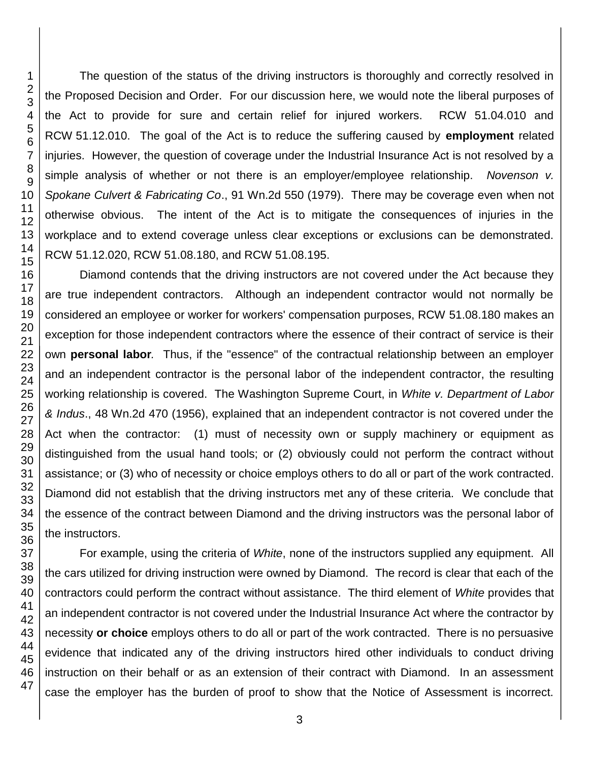45 46 47

The question of the status of the driving instructors is thoroughly and correctly resolved in the Proposed Decision and Order. For our discussion here, we would note the liberal purposes of the Act to provide for sure and certain relief for injured workers. RCW 51.04.010 and RCW 51.12.010. The goal of the Act is to reduce the suffering caused by **employment** related injuries. However, the question of coverage under the Industrial Insurance Act is not resolved by a simple analysis of whether or not there is an employer/employee relationship. *Novenson v. Spokane Culvert & Fabricating Co*., 91 Wn.2d 550 (1979). There may be coverage even when not otherwise obvious. The intent of the Act is to mitigate the consequences of injuries in the workplace and to extend coverage unless clear exceptions or exclusions can be demonstrated. RCW 51.12.020, RCW 51.08.180, and RCW 51.08.195.

Diamond contends that the driving instructors are not covered under the Act because they are true independent contractors. Although an independent contractor would not normally be considered an employee or worker for workers' compensation purposes, RCW 51.08.180 makes an exception for those independent contractors where the essence of their contract of service is their own **personal labor***.* Thus, if the "essence" of the contractual relationship between an employer and an independent contractor is the personal labor of the independent contractor, the resulting working relationship is covered. The Washington Supreme Court, in *White v. Department of Labor & Indus*., 48 Wn.2d 470 (1956), explained that an independent contractor is not covered under the Act when the contractor: (1) must of necessity own or supply machinery or equipment as distinguished from the usual hand tools; or (2) obviously could not perform the contract without assistance; or (3) who of necessity or choice employs others to do all or part of the work contracted. Diamond did not establish that the driving instructors met any of these criteria. We conclude that the essence of the contract between Diamond and the driving instructors was the personal labor of the instructors.

For example, using the criteria of *White*, none of the instructors supplied any equipment. All the cars utilized for driving instruction were owned by Diamond. The record is clear that each of the contractors could perform the contract without assistance. The third element of *White* provides that an independent contractor is not covered under the Industrial Insurance Act where the contractor by necessity **or choice** employs others to do all or part of the work contracted. There is no persuasive evidence that indicated any of the driving instructors hired other individuals to conduct driving instruction on their behalf or as an extension of their contract with Diamond. In an assessment case the employer has the burden of proof to show that the Notice of Assessment is incorrect.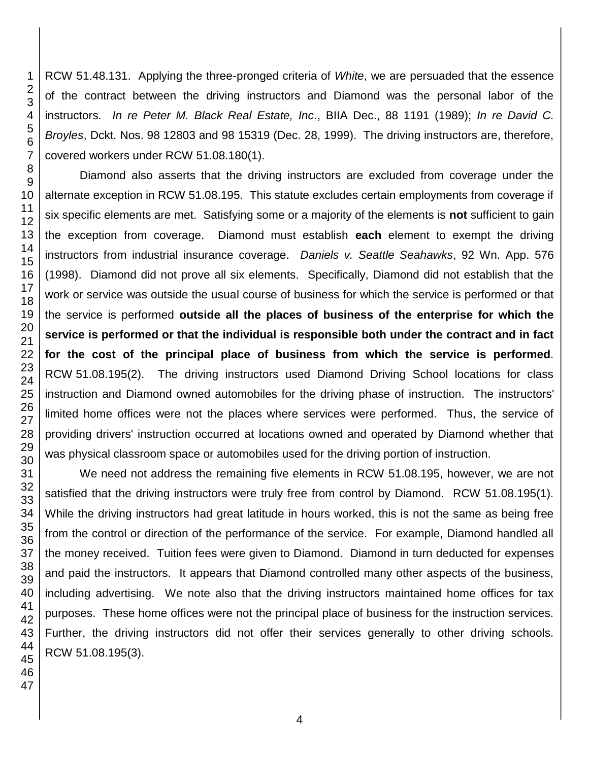RCW 51.48.131. Applying the three-pronged criteria of *White*, we are persuaded that the essence of the contract between the driving instructors and Diamond was the personal labor of the instructors. *In re Peter M. Black Real Estate, Inc*., BIIA Dec., 88 1191 (1989); *In re David C. Broyles*, Dckt. Nos. 98 12803 and 98 15319 (Dec. 28, 1999). The driving instructors are, therefore, covered workers under RCW 51.08.180(1).

Diamond also asserts that the driving instructors are excluded from coverage under the alternate exception in RCW 51.08.195. This statute excludes certain employments from coverage if six specific elements are met. Satisfying some or a majority of the elements is **not** sufficient to gain the exception from coverage. Diamond must establish **each** element to exempt the driving instructors from industrial insurance coverage. *Daniels v. Seattle Seahawks*, 92 Wn. App. 576 (1998). Diamond did not prove all six elements. Specifically, Diamond did not establish that the work or service was outside the usual course of business for which the service is performed or that the service is performed **outside all the places of business of the enterprise for which the service is performed or that the individual is responsible both under the contract and in fact for the cost of the principal place of business from which the service is performed***.* RCW 51.08.195(2). The driving instructors used Diamond Driving School locations for class instruction and Diamond owned automobiles for the driving phase of instruction. The instructors' limited home offices were not the places where services were performed. Thus, the service of providing drivers' instruction occurred at locations owned and operated by Diamond whether that was physical classroom space or automobiles used for the driving portion of instruction.

We need not address the remaining five elements in RCW 51.08.195, however, we are not satisfied that the driving instructors were truly free from control by Diamond. RCW 51.08.195(1). While the driving instructors had great latitude in hours worked, this is not the same as being free from the control or direction of the performance of the service. For example, Diamond handled all the money received. Tuition fees were given to Diamond. Diamond in turn deducted for expenses and paid the instructors. It appears that Diamond controlled many other aspects of the business, including advertising. We note also that the driving instructors maintained home offices for tax purposes. These home offices were not the principal place of business for the instruction services. Further, the driving instructors did not offer their services generally to other driving schools. RCW 51.08.195(3).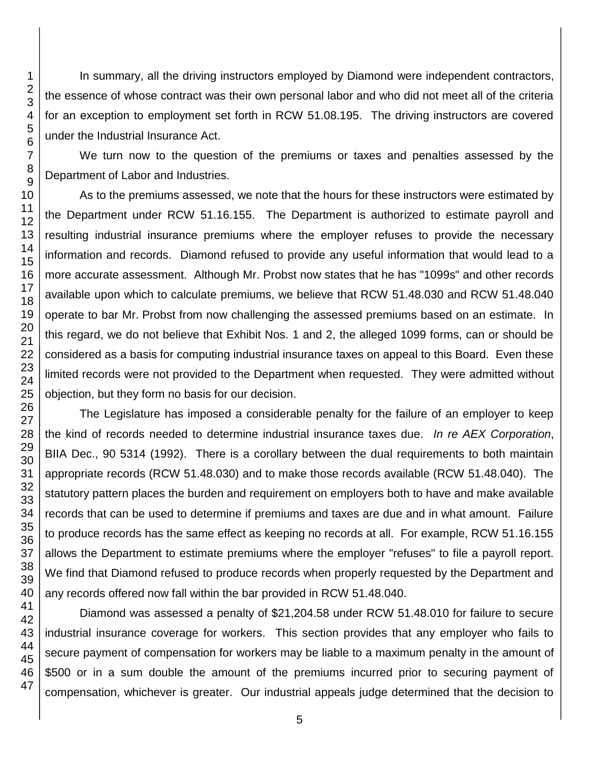In summary, all the driving instructors employed by Diamond were independent contractors, the essence of whose contract was their own personal labor and who did not meet all of the criteria for an exception to employment set forth in RCW 51.08.195. The driving instructors are covered under the Industrial Insurance Act.

We turn now to the question of the premiums or taxes and penalties assessed by the Department of Labor and Industries.

As to the premiums assessed, we note that the hours for these instructors were estimated by the Department under RCW 51.16.155. The Department is authorized to estimate payroll and resulting industrial insurance premiums where the employer refuses to provide the necessary information and records. Diamond refused to provide any useful information that would lead to a more accurate assessment. Although Mr. Probst now states that he has "1099s" and other records available upon which to calculate premiums, we believe that RCW 51.48.030 and RCW 51.48.040 operate to bar Mr. Probst from now challenging the assessed premiums based on an estimate. In this regard, we do not believe that Exhibit Nos. 1 and 2, the alleged 1099 forms, can or should be considered as a basis for computing industrial insurance taxes on appeal to this Board. Even these limited records were not provided to the Department when requested. They were admitted without objection, but they form no basis for our decision.

The Legislature has imposed a considerable penalty for the failure of an employer to keep the kind of records needed to determine industrial insurance taxes due. *In re AEX Corporation*, BIIA Dec., 90 5314 (1992). There is a corollary between the dual requirements to both maintain appropriate records (RCW 51.48.030) and to make those records available (RCW 51.48.040). The statutory pattern places the burden and requirement on employers both to have and make available records that can be used to determine if premiums and taxes are due and in what amount. Failure to produce records has the same effect as keeping no records at all. For example, RCW 51.16.155 allows the Department to estimate premiums where the employer "refuses" to file a payroll report. We find that Diamond refused to produce records when properly requested by the Department and any records offered now fall within the bar provided in RCW 51.48.040.

Diamond was assessed a penalty of \$21,204.58 under RCW 51.48.010 for failure to secure industrial insurance coverage for workers. This section provides that any employer who fails to secure payment of compensation for workers may be liable to a maximum penalty in the amount of \$500 or in a sum double the amount of the premiums incurred prior to securing payment of compensation, whichever is greater. Our industrial appeals judge determined that the decision to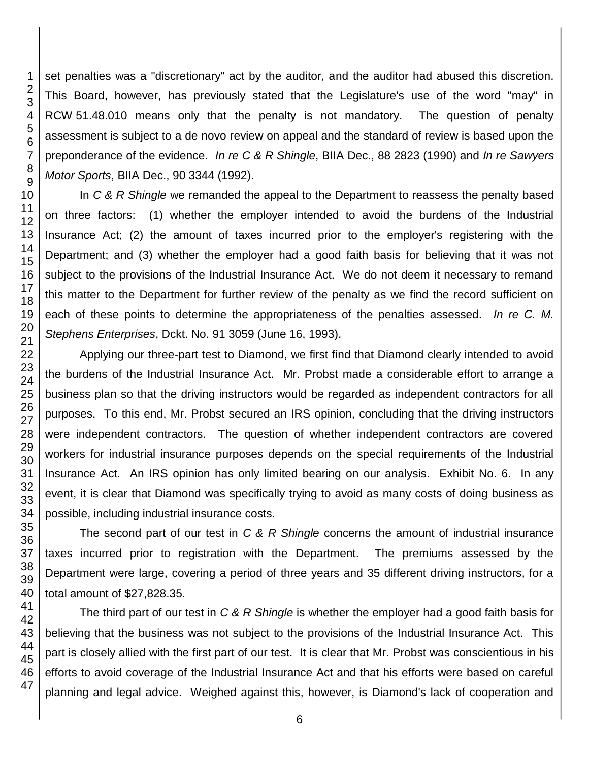set penalties was a "discretionary" act by the auditor, and the auditor had abused this discretion. This Board, however, has previously stated that the Legislature's use of the word "may" in RCW 51.48.010 means only that the penalty is not mandatory. The question of penalty assessment is subject to a de novo review on appeal and the standard of review is based upon the preponderance of the evidence. *In re C & R Shingle*, BIIA Dec., 88 2823 (1990) and *In re Sawyers Motor Sports*, BIIA Dec., 90 3344 (1992).

In *C & R Shingle* we remanded the appeal to the Department to reassess the penalty based on three factors: (1) whether the employer intended to avoid the burdens of the Industrial Insurance Act; (2) the amount of taxes incurred prior to the employer's registering with the Department; and (3) whether the employer had a good faith basis for believing that it was not subject to the provisions of the Industrial Insurance Act. We do not deem it necessary to remand this matter to the Department for further review of the penalty as we find the record sufficient on each of these points to determine the appropriateness of the penalties assessed. *In re C. M. Stephens Enterprises*, Dckt. No. 91 3059 (June 16, 1993).

Applying our three-part test to Diamond, we first find that Diamond clearly intended to avoid the burdens of the Industrial Insurance Act. Mr. Probst made a considerable effort to arrange a business plan so that the driving instructors would be regarded as independent contractors for all purposes. To this end, Mr. Probst secured an IRS opinion, concluding that the driving instructors were independent contractors. The question of whether independent contractors are covered workers for industrial insurance purposes depends on the special requirements of the Industrial Insurance Act. An IRS opinion has only limited bearing on our analysis. Exhibit No. 6. In any event, it is clear that Diamond was specifically trying to avoid as many costs of doing business as possible, including industrial insurance costs.

The second part of our test in *C & R Shingle* concerns the amount of industrial insurance taxes incurred prior to registration with the Department. The premiums assessed by the Department were large, covering a period of three years and 35 different driving instructors, for a total amount of \$27,828.35.

The third part of our test in *C & R Shingle* is whether the employer had a good faith basis for believing that the business was not subject to the provisions of the Industrial Insurance Act. This part is closely allied with the first part of our test. It is clear that Mr. Probst was conscientious in his efforts to avoid coverage of the Industrial Insurance Act and that his efforts were based on careful planning and legal advice. Weighed against this, however, is Diamond's lack of cooperation and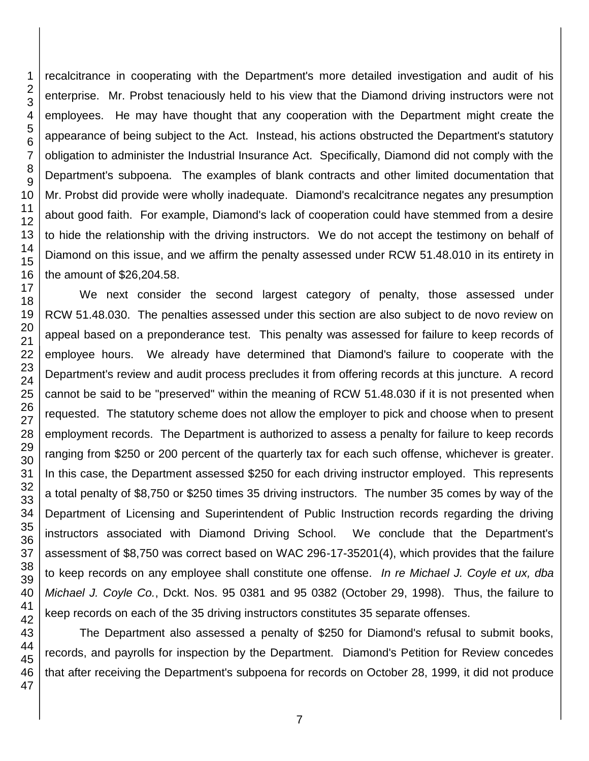recalcitrance in cooperating with the Department's more detailed investigation and audit of his enterprise. Mr. Probst tenaciously held to his view that the Diamond driving instructors were not employees. He may have thought that any cooperation with the Department might create the appearance of being subject to the Act. Instead, his actions obstructed the Department's statutory obligation to administer the Industrial Insurance Act. Specifically, Diamond did not comply with the Department's subpoena. The examples of blank contracts and other limited documentation that Mr. Probst did provide were wholly inadequate. Diamond's recalcitrance negates any presumption about good faith. For example, Diamond's lack of cooperation could have stemmed from a desire to hide the relationship with the driving instructors. We do not accept the testimony on behalf of Diamond on this issue, and we affirm the penalty assessed under RCW 51.48.010 in its entirety in the amount of \$26,204.58.

 We next consider the second largest category of penalty, those assessed under RCW 51.48.030. The penalties assessed under this section are also subject to de novo review on appeal based on a preponderance test. This penalty was assessed for failure to keep records of employee hours. We already have determined that Diamond's failure to cooperate with the Department's review and audit process precludes it from offering records at this juncture. A record cannot be said to be "preserved" within the meaning of RCW 51.48.030 if it is not presented when requested. The statutory scheme does not allow the employer to pick and choose when to present employment records. The Department is authorized to assess a penalty for failure to keep records ranging from \$250 or 200 percent of the quarterly tax for each such offense, whichever is greater. In this case, the Department assessed \$250 for each driving instructor employed. This represents a total penalty of \$8,750 or \$250 times 35 driving instructors. The number 35 comes by way of the Department of Licensing and Superintendent of Public Instruction records regarding the driving instructors associated with Diamond Driving School. We conclude that the Department's assessment of \$8,750 was correct based on WAC 296-17-35201(4), which provides that the failure to keep records on any employee shall constitute one offense. *In re Michael J. Coyle et ux, dba Michael J. Coyle Co.*, Dckt. Nos. 95 0381 and 95 0382 (October 29, 1998). Thus, the failure to keep records on each of the 35 driving instructors constitutes 35 separate offenses.

The Department also assessed a penalty of \$250 for Diamond's refusal to submit books, records, and payrolls for inspection by the Department. Diamond's Petition for Review concedes that after receiving the Department's subpoena for records on October 28, 1999, it did not produce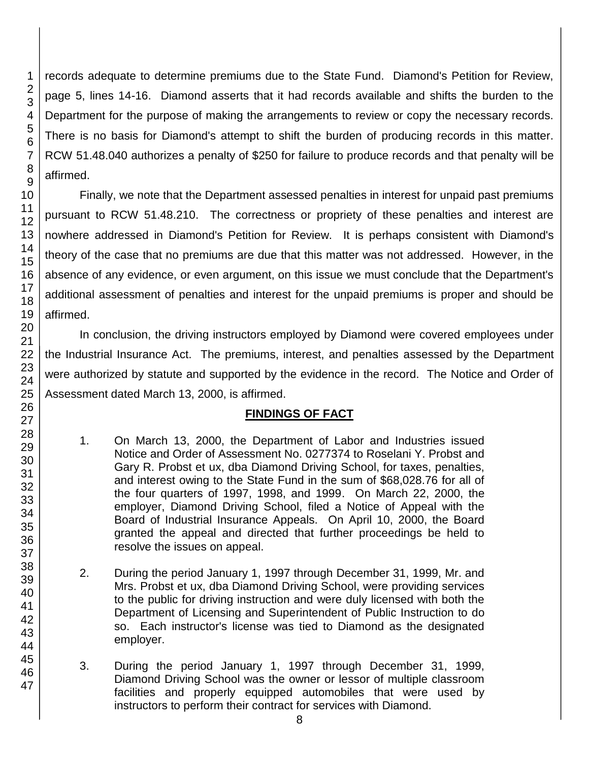records adequate to determine premiums due to the State Fund. Diamond's Petition for Review, page 5, lines 14-16. Diamond asserts that it had records available and shifts the burden to the Department for the purpose of making the arrangements to review or copy the necessary records. There is no basis for Diamond's attempt to shift the burden of producing records in this matter. RCW 51.48.040 authorizes a penalty of \$250 for failure to produce records and that penalty will be affirmed.

Finally, we note that the Department assessed penalties in interest for unpaid past premiums pursuant to RCW 51.48.210. The correctness or propriety of these penalties and interest are nowhere addressed in Diamond's Petition for Review. It is perhaps consistent with Diamond's theory of the case that no premiums are due that this matter was not addressed. However, in the absence of any evidence, or even argument, on this issue we must conclude that the Department's additional assessment of penalties and interest for the unpaid premiums is proper and should be affirmed.

In conclusion, the driving instructors employed by Diamond were covered employees under the Industrial Insurance Act. The premiums, interest, and penalties assessed by the Department were authorized by statute and supported by the evidence in the record. The Notice and Order of Assessment dated March 13, 2000, is affirmed.

### **FINDINGS OF FACT**

- 1. On March 13, 2000, the Department of Labor and Industries issued Notice and Order of Assessment No. 0277374 to Roselani Y. Probst and Gary R. Probst et ux, dba Diamond Driving School, for taxes, penalties, and interest owing to the State Fund in the sum of \$68,028.76 for all of the four quarters of 1997, 1998, and 1999. On March 22, 2000, the employer, Diamond Driving School, filed a Notice of Appeal with the Board of Industrial Insurance Appeals. On April 10, 2000, the Board granted the appeal and directed that further proceedings be held to resolve the issues on appeal.
- 2. During the period January 1, 1997 through December 31, 1999, Mr. and Mrs. Probst et ux, dba Diamond Driving School, were providing services to the public for driving instruction and were duly licensed with both the Department of Licensing and Superintendent of Public Instruction to do so. Each instructor's license was tied to Diamond as the designated employer.
- 3. During the period January 1, 1997 through December 31, 1999, Diamond Driving School was the owner or lessor of multiple classroom facilities and properly equipped automobiles that were used by instructors to perform their contract for services with Diamond.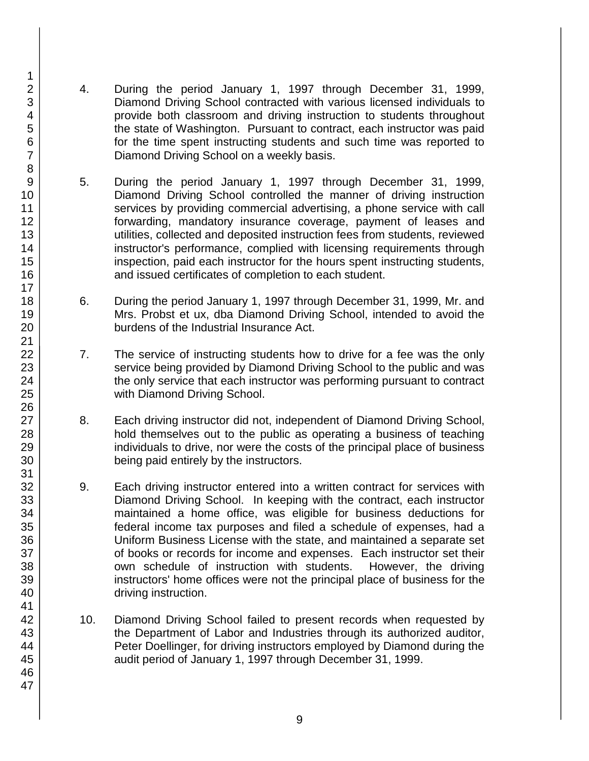- 4. During the period January 1, 1997 through December 31, 1999, Diamond Driving School contracted with various licensed individuals to provide both classroom and driving instruction to students throughout the state of Washington. Pursuant to contract, each instructor was paid for the time spent instructing students and such time was reported to Diamond Driving School on a weekly basis.
- 5. During the period January 1, 1997 through December 31, 1999, Diamond Driving School controlled the manner of driving instruction services by providing commercial advertising, a phone service with call forwarding, mandatory insurance coverage, payment of leases and utilities, collected and deposited instruction fees from students, reviewed instructor's performance, complied with licensing requirements through inspection, paid each instructor for the hours spent instructing students, and issued certificates of completion to each student.
- 6. During the period January 1, 1997 through December 31, 1999, Mr. and Mrs. Probst et ux, dba Diamond Driving School, intended to avoid the burdens of the Industrial Insurance Act.
- 7. The service of instructing students how to drive for a fee was the only service being provided by Diamond Driving School to the public and was the only service that each instructor was performing pursuant to contract with Diamond Driving School.
- 8. Each driving instructor did not, independent of Diamond Driving School, hold themselves out to the public as operating a business of teaching individuals to drive, nor were the costs of the principal place of business being paid entirely by the instructors.
- 9. Each driving instructor entered into a written contract for services with Diamond Driving School. In keeping with the contract, each instructor maintained a home office, was eligible for business deductions for federal income tax purposes and filed a schedule of expenses, had a Uniform Business License with the state, and maintained a separate set of books or records for income and expenses. Each instructor set their own schedule of instruction with students. However, the driving instructors' home offices were not the principal place of business for the driving instruction.
- 10. Diamond Driving School failed to present records when requested by the Department of Labor and Industries through its authorized auditor, Peter Doellinger, for driving instructors employed by Diamond during the audit period of January 1, 1997 through December 31, 1999.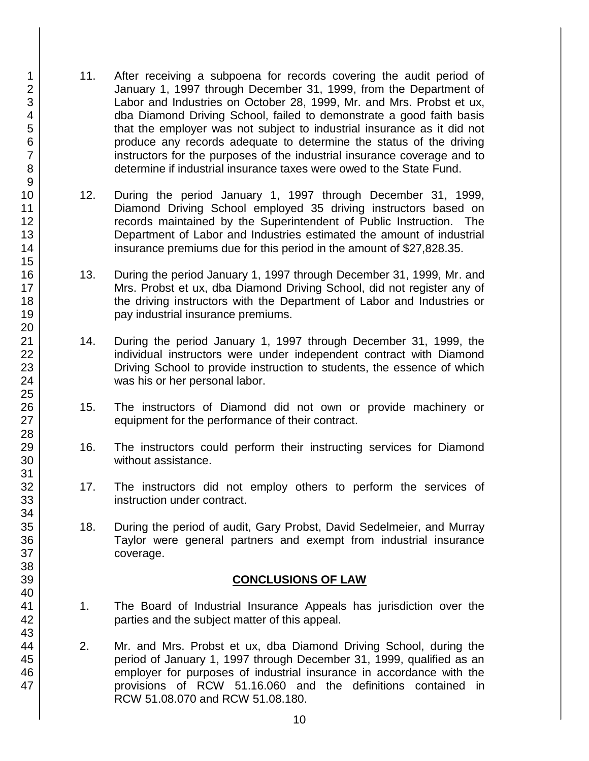- 11. After receiving a subpoena for records covering the audit period of January 1, 1997 through December 31, 1999, from the Department of Labor and Industries on October 28, 1999, Mr. and Mrs. Probst et ux, dba Diamond Driving School, failed to demonstrate a good faith basis that the employer was not subject to industrial insurance as it did not produce any records adequate to determine the status of the driving instructors for the purposes of the industrial insurance coverage and to determine if industrial insurance taxes were owed to the State Fund.
- 12. During the period January 1, 1997 through December 31, 1999, Diamond Driving School employed 35 driving instructors based on records maintained by the Superintendent of Public Instruction. The Department of Labor and Industries estimated the amount of industrial insurance premiums due for this period in the amount of \$27,828.35.
- 13. During the period January 1, 1997 through December 31, 1999, Mr. and Mrs. Probst et ux, dba Diamond Driving School, did not register any of the driving instructors with the Department of Labor and Industries or pay industrial insurance premiums.
- 14. During the period January 1, 1997 through December 31, 1999, the individual instructors were under independent contract with Diamond Driving School to provide instruction to students, the essence of which was his or her personal labor.
- 15. The instructors of Diamond did not own or provide machinery or equipment for the performance of their contract.
- 16. The instructors could perform their instructing services for Diamond without assistance.
- 17. The instructors did not employ others to perform the services of instruction under contract.
- 18. During the period of audit, Gary Probst, David Sedelmeier, and Murray Taylor were general partners and exempt from industrial insurance coverage.

### **CONCLUSIONS OF LAW**

- 1. The Board of Industrial Insurance Appeals has jurisdiction over the parties and the subject matter of this appeal.
- 2. Mr. and Mrs. Probst et ux, dba Diamond Driving School, during the period of January 1, 1997 through December 31, 1999, qualified as an employer for purposes of industrial insurance in accordance with the provisions of RCW 51.16.060 and the definitions contained in RCW 51.08.070 and RCW 51.08.180.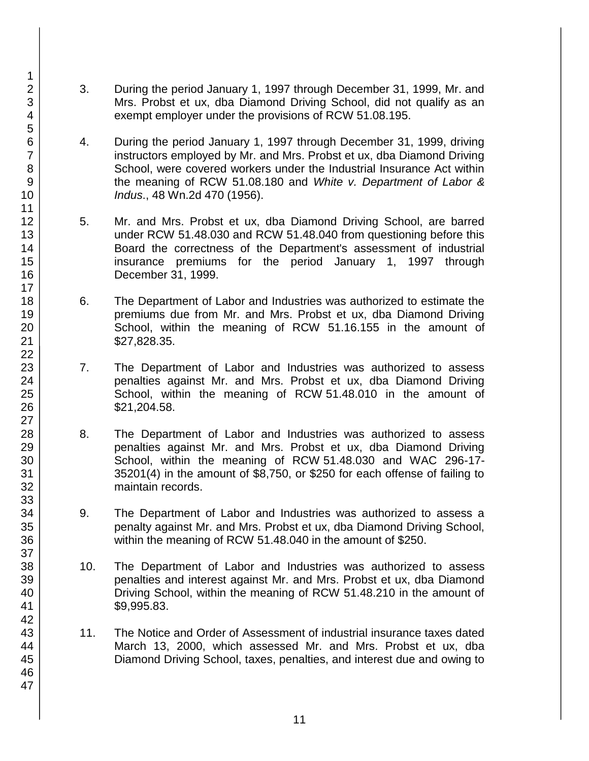- 3. During the period January 1, 1997 through December 31, 1999, Mr. and Mrs. Probst et ux, dba Diamond Driving School, did not qualify as an exempt employer under the provisions of RCW 51.08.195.
- 4. During the period January 1, 1997 through December 31, 1999, driving instructors employed by Mr. and Mrs. Probst et ux, dba Diamond Driving School, were covered workers under the Industrial Insurance Act within the meaning of RCW 51.08.180 and *White v. Department of Labor & Indus*., 48 Wn.2d 470 (1956).
- 5. Mr. and Mrs. Probst et ux, dba Diamond Driving School, are barred under RCW 51.48.030 and RCW 51.48.040 from questioning before this Board the correctness of the Department's assessment of industrial insurance premiums for the period January 1, 1997 through December 31, 1999.
- 6. The Department of Labor and Industries was authorized to estimate the premiums due from Mr. and Mrs. Probst et ux, dba Diamond Driving School, within the meaning of RCW 51.16.155 in the amount of \$27,828.35.
- 7. The Department of Labor and Industries was authorized to assess penalties against Mr. and Mrs. Probst et ux, dba Diamond Driving School, within the meaning of RCW 51.48.010 in the amount of \$21,204.58.
- 8. The Department of Labor and Industries was authorized to assess penalties against Mr. and Mrs. Probst et ux, dba Diamond Driving School, within the meaning of RCW 51.48.030 and WAC 296-17- 35201(4) in the amount of \$8,750, or \$250 for each offense of failing to maintain records.
- 9. The Department of Labor and Industries was authorized to assess a penalty against Mr. and Mrs. Probst et ux, dba Diamond Driving School, within the meaning of RCW 51.48.040 in the amount of \$250.
- 10. The Department of Labor and Industries was authorized to assess penalties and interest against Mr. and Mrs. Probst et ux, dba Diamond Driving School, within the meaning of RCW 51.48.210 in the amount of \$9,995.83.
- 11. The Notice and Order of Assessment of industrial insurance taxes dated March 13, 2000, which assessed Mr. and Mrs. Probst et ux, dba Diamond Driving School, taxes, penalties, and interest due and owing to